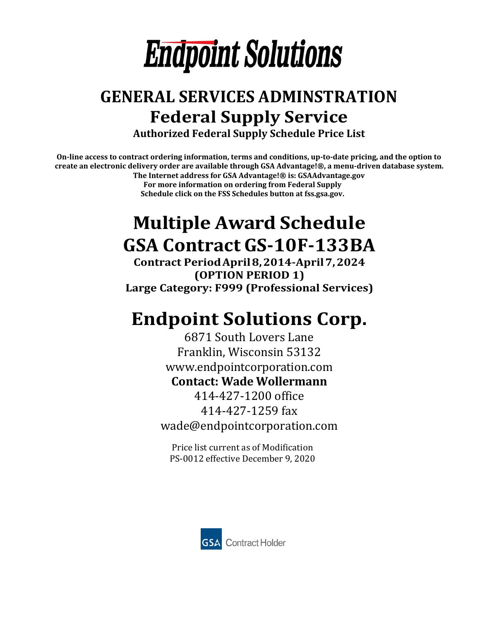

## **GENERAL SERVICES ADMINSTRATION Federal Supply Service Authorized Federal Supply Schedule Price List**

**On-line access to contract ordering information, terms and conditions, up-to-date pricing, and the option to create an electronic delivery order are available through GSA Advantage!®, a menu-driven database system. The Internet address for GSA Advantage!® is: GSAAdvantage.gov**

**For more information on ordering from Federal Supply Schedule click on the FSS Schedules button at fss.gsa.gov.** 

## **Multiple Award Schedule GSA Contract GS-10F-133BA**

**Contract Period April 8,2014-April 7,2024 (OPTION PERIOD 1) Large Category: F999 (Professional Services)**

## **Endpoint Solutions Corp.**

6871 South Lovers Lane Franklin, Wisconsin 53132 [www.endpointcorporation.com](http://www.endpointcorporation.com/) **Contact: Wade Wollermann**

414-427-1200 office 414-427-1259 fax [wade@endpointcorporation.com](mailto:wade@endpointcorporation.com)

Price list current as of Modification PS-0012 effective December 9, 2020

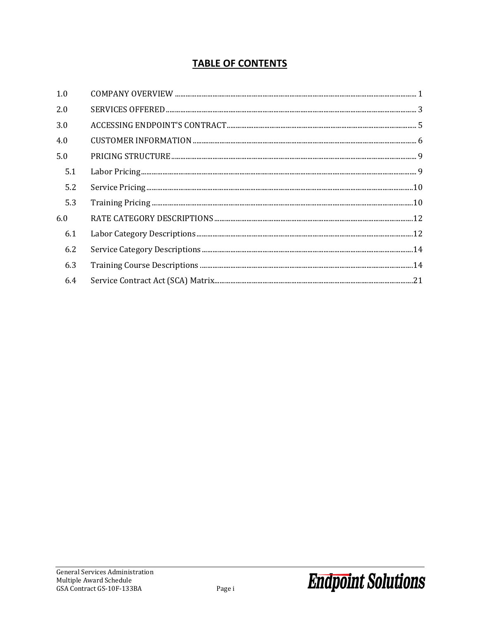### **TABLE OF CONTENTS**

| 1.0 |  |
|-----|--|
| 2.0 |  |
| 3.0 |  |
| 4.0 |  |
| 5.0 |  |
| 5.1 |  |
| 5.2 |  |
| 5.3 |  |
| 6.0 |  |
| 6.1 |  |
| 6.2 |  |
| 6.3 |  |
| 6.4 |  |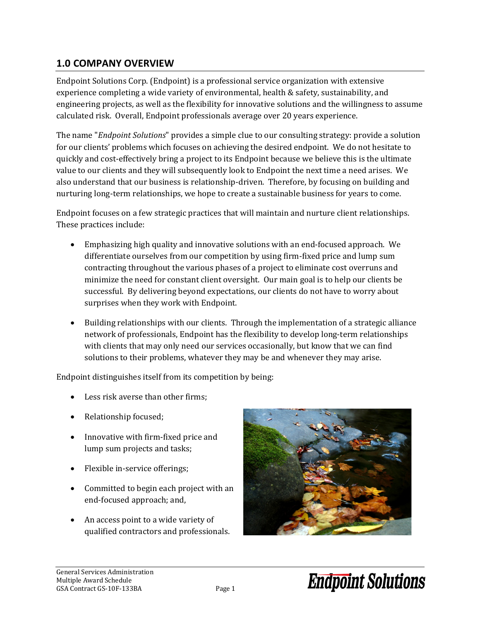### <span id="page-2-0"></span>**1.0 COMPANY OVERVIEW**

Endpoint Solutions Corp. (Endpoint) is a professional service organization with extensive experience completing a wide variety of environmental, health & safety, sustainability, and engineering projects, as well as the flexibility for innovative solutions and the willingness to assume calculated risk. Overall, Endpoint professionals average over 20 years experience.

The name "*Endpoint Solutions*" provides a simple clue to our consulting strategy: provide a solution for our clients' problems which focuses on achieving the desired endpoint. We do not hesitate to quickly and cost-effectively bring a project to its Endpoint because we believe this is the ultimate value to our clients and they will subsequently look to Endpoint the next time a need arises. We also understand that our business is relationship-driven. Therefore, by focusing on building and nurturing long-term relationships, we hope to create a sustainable business for years to come.

Endpoint focuses on a few strategic practices that will maintain and nurture client relationships. These practices include:

- Emphasizing high quality and innovative solutions with an end-focused approach. We differentiate ourselves from our competition by using firm-fixed price and lump sum contracting throughout the various phases of a project to eliminate cost overruns and minimize the need for constant client oversight. Our main goal is to help our clients be successful. By delivering beyond expectations, our clients do not have to worry about surprises when they work with Endpoint.
- Building relationships with our clients. Through the implementation of a strategic alliance network of professionals, Endpoint has the flexibility to develop long-term relationships with clients that may only need our services occasionally, but know that we can find solutions to their problems, whatever they may be and whenever they may arise.

Endpoint distinguishes itself from its competition by being:

- Less risk averse than other firms;
- Relationship focused;
- Innovative with firm-fixed price and lump sum projects and tasks;
- Flexible in-service offerings;
- Committed to begin each project with an end-focused approach; and,
- An access point to a wide variety of qualified contractors and professionals.

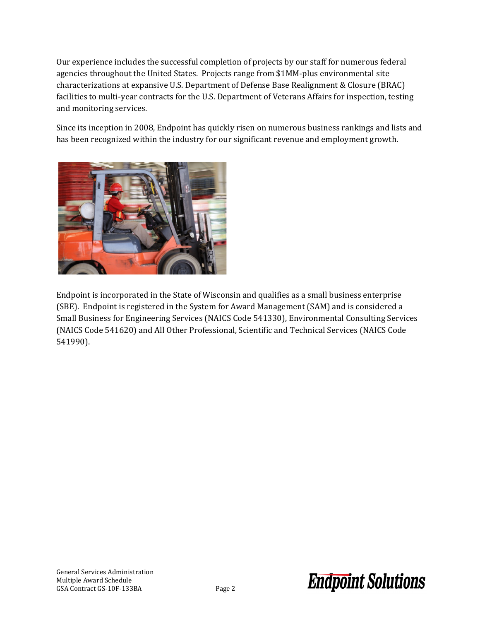Our experience includes the successful completion of projects by our staff for numerous federal agencies throughout the United States. Projects range from \$1MM-plus environmental site characterizations at expansive U.S. Department of Defense Base Realignment & Closure (BRAC) facilities to multi-year contracts for the U.S. Department of Veterans Affairs for inspection, testing and monitoring services.

Since its inception in 2008, Endpoint has quickly risen on numerous business rankings and lists and has been recognized within the industry for our significant revenue and employment growth.



Endpoint is incorporated in the State of Wisconsin and qualifies as a small business enterprise (SBE). Endpoint is registered in the System for Award Management (SAM) and is considered a Small Business for Engineering Services (NAICS Code 541330), Environmental Consulting Services (NAICS Code 541620) and All Other Professional, Scientific and Technical Services (NAICS Code 541990).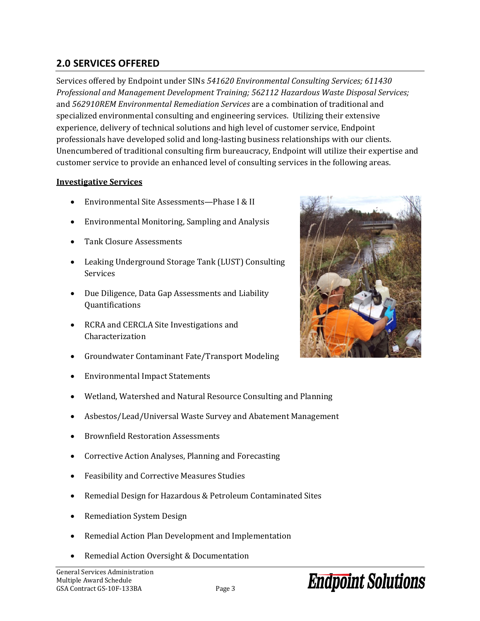### <span id="page-4-0"></span>**2.0 SERVICES OFFERED**

Services offered by Endpoint under SINs *541620 Environmental Consulting Services; 611430 Professional and Management Development Training; 562112 Hazardous Waste Disposal Services;*  and *562910REM Environmental Remediation Services* are a combination of traditional and specialized environmental consulting and engineering services. Utilizing their extensive experience, delivery of technical solutions and high level of customer service, Endpoint professionals have developed solid and long-lasting business relationships with our clients. Unencumbered of traditional consulting firm bureaucracy, Endpoint will utilize their expertise and customer service to provide an enhanced level of consulting services in the following areas.

#### **Investigative Services**

- Environmental Site Assessments—Phase I & II
- Environmental Monitoring, Sampling and Analysis
- Tank Closure Assessments
- Leaking Underground Storage Tank (LUST) Consulting Services
- Due Diligence, Data Gap Assessments and Liability Quantifications
- RCRA and CERCLA Site Investigations and Characterization
- Groundwater Contaminant Fate/Transport Modeling
- Environmental Impact Statements
- Wetland, Watershed and Natural Resource Consulting and Planning
- Asbestos/Lead/Universal Waste Survey and Abatement Management
- Brownfield Restoration Assessments
- Corrective Action Analyses, Planning and Forecasting
- Feasibility and Corrective Measures Studies
- Remedial Design for Hazardous & Petroleum Contaminated Sites
- Remediation System Design
- Remedial Action Plan Development and Implementation
- Remedial Action Oversight & Documentation

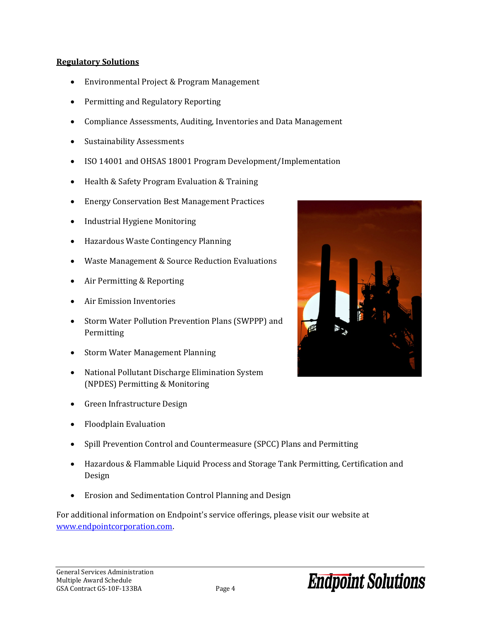#### **Regulatory Solutions**

- Environmental Project & Program Management
- Permitting and Regulatory Reporting
- Compliance Assessments, Auditing, Inventories and Data Management
- Sustainability Assessments
- ISO 14001 and OHSAS 18001 Program Development/Implementation
- Health & Safety Program Evaluation & Training
- Energy Conservation Best Management Practices
- Industrial Hygiene Monitoring
- Hazardous Waste Contingency Planning
- Waste Management & Source Reduction Evaluations
- Air Permitting & Reporting
- Air Emission Inventories
- Storm Water Pollution Prevention Plans (SWPPP) and Permitting
- Storm Water Management Planning
- National Pollutant Discharge Elimination System (NPDES) Permitting & Monitoring
- Green Infrastructure Design
- Floodplain Evaluation
- Spill Prevention Control and Countermeasure (SPCC) Plans and Permitting
- Hazardous & Flammable Liquid Process and Storage Tank Permitting, Certification and Design
- Erosion and Sedimentation Control Planning and Design

For additional information on Endpoint's service offerings, please visit our website at [www.endpointcorporation.com.](file://Endpoint1/Projects/GSA/Contract/www.endpointcorporation.com) 

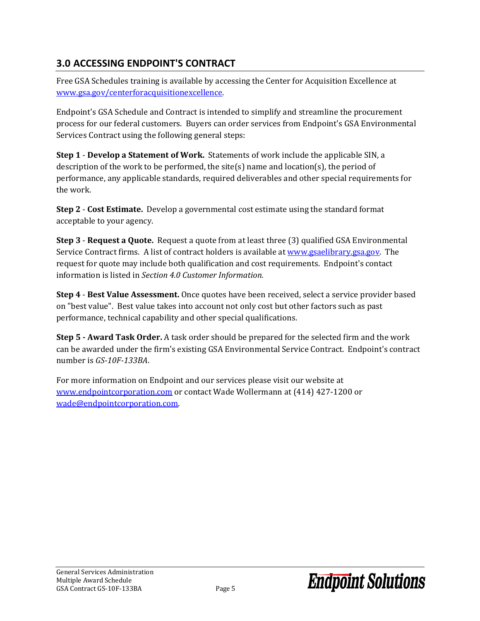### <span id="page-6-0"></span>**3.0 ACCESSING ENDPOINT'S CONTRACT**

Free GSA Schedules training is available by accessing the Center for Acquisition Excellence at [www.gsa.gov/centerforacquisitionexcellence.](file://Endpoint1/Projects/GSA/Contract/www.gsa.gov/centerforacquisitionexcellence)

Endpoint's GSA Schedule and Contract is intended to simplify and streamline the procurement process for our federal customers. Buyers can order services from Endpoint's GSA Environmental Services Contract using the following general steps:

**Step 1** - **Develop a Statement of Work.** Statements of work include the applicable SIN, a description of the work to be performed, the site(s) name and location(s), the period of performance, any applicable standards, required deliverables and other special requirements for the work.

**Step 2** - **Cost Estimate.** Develop a governmental cost estimate using the standard format acceptable to your agency.

**Step 3** - **Request a Quote.** Request a quote from at least three (3) qualified GSA Environmental Service Contract firms. A list of contract holders is available at [www.gsaelibrary.gsa.gov.](file://Endpoint1/Projects/GSA/Contract/www.gsaelibrary.gsa.gov) The request for quote may include both qualification and cost requirements. Endpoint's contact information is listed in *Section 4.0 Customer Information.*

**Step 4** - **Best Value Assessment.** Once quotes have been received, select a service provider based on "best value". Best value takes into account not only cost but other factors such as past performance, technical capability and other special qualifications.

**Step 5 - Award Task Order.** A task order should be prepared for the selected firm and the work can be awarded under the firm's existing GSA Environmental Service Contract. Endpoint's contract number is *GS-10F-133BA*.

For more information on Endpoint and our services please visit our website at [www.endpointcorporation.com](file://Endpoint1/Projects/GSA/Contract/www.endpointcorporation.com%20) or contact Wade Wollermann at (414) 427-1200 or [wade@endpointcorporation.com.](file://Endpoint1/Projects/GSA/Contract/wade@endpointcorporation.com)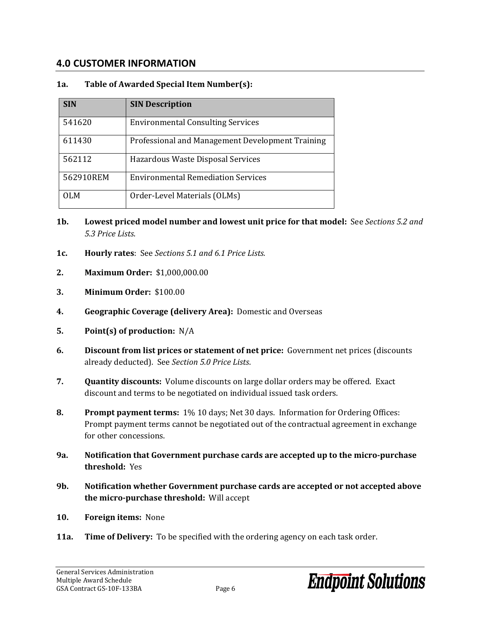### <span id="page-7-0"></span>**4.0 CUSTOMER INFORMATION**

### **1a. Table of Awarded Special Item Number(s):**

| <b>SIN</b> | <b>SIN Description</b>                           |
|------------|--------------------------------------------------|
| 541620     | <b>Environmental Consulting Services</b>         |
| 611430     | Professional and Management Development Training |
| 562112     | Hazardous Waste Disposal Services                |
| 562910REM  | <b>Environmental Remediation Services</b>        |
| OLM        | Order-Level Materials (OLMs)                     |

- **1b. Lowest priced model number and lowest unit price for that model:** See *Sections 5.2 and 5.3 Price Lists*.
- **1c. Hourly rates**: See *Sections 5.1 and 6.1 Price Lists.*
- **2. Maximum Order:** \$1,000,000.00
- **3. Minimum Order:** \$100.00
- **4. Geographic Coverage (delivery Area):** Domestic and Overseas
- **5. Point(s) of production:** N/A
- **6. Discount from list prices or statement of net price:** Government net prices (discounts already deducted). See *Section 5.0 Price Lists*.
- **7. Quantity discounts:** Volume discounts on large dollar orders may be offered. Exact discount and terms to be negotiated on individual issued task orders.
- **8. Prompt payment terms:** 1% 10 days; Net 30 days. Information for Ordering Offices: Prompt payment terms cannot be negotiated out of the contractual agreement in exchange for other concessions.
- **9a. Notification that Government purchase cards are accepted up to the micro-purchase threshold:** Yes
- **9b. Notification whether Government purchase cards are accepted or not accepted above the micro-purchase threshold:** Will accept
- **10. Foreign items:** None
- **11a. Time of Delivery:** To be specified with the ordering agency on each task order.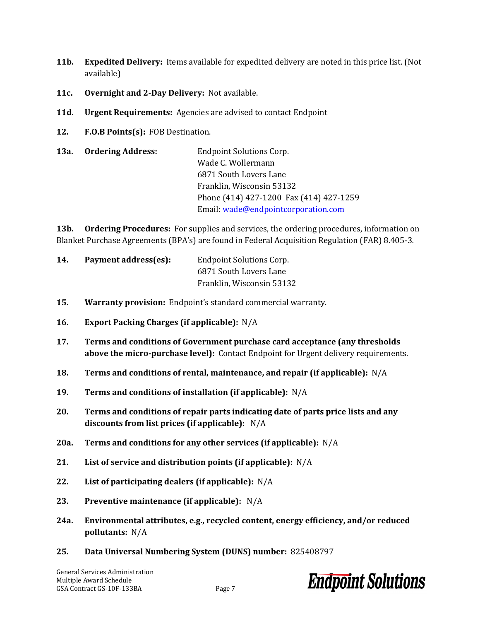- **11b. Expedited Delivery:** Items available for expedited delivery are noted in this price list. (Not available)
- **11c. Overnight and 2-Day Delivery:** Not available.
- **11d. Urgent Requirements:** Agencies are advised to contact Endpoint
- **12. F.O.B Points(s):** FOB Destination.
- **13a. Ordering Address:** Endpoint Solutions Corp. Wade C. Wollermann 6871 South Lovers Lane Franklin, Wisconsin 53132 Phone (414) 427-1200 Fax (414) 427-1259 Email: [wade@endpointcorporation.com](file://Endpoint1/Projects/GSA/Contract/wade@endpointcorporation.com)

**13b. Ordering Procedures:** For supplies and services, the ordering procedures, information on Blanket Purchase Agreements (BPA's) are found in Federal Acquisition Regulation (FAR) 8.405-3*.*

| 14. | Payment address(es): | <b>Endpoint Solutions Corp.</b> |
|-----|----------------------|---------------------------------|
|     |                      | 6871 South Lovers Lane          |
|     |                      | Franklin, Wisconsin 53132       |

- **15. Warranty provision:** Endpoint's standard commercial warranty.
- **16. Export Packing Charges (if applicable):** N/A
- **17. Terms and conditions of Government purchase card acceptance (any thresholds above the micro-purchase level):** Contact Endpoint for Urgent delivery requirements.
- **18. Terms and conditions of rental, maintenance, and repair (if applicable):** N/A
- **19. Terms and conditions of installation (if applicable):** N/A
- **20. Terms and conditions of repair parts indicating date of parts price lists and any discounts from list prices (if applicable):** N/A
- **20a. Terms and conditions for any other services (if applicable):** N/A
- **21. List of service and distribution points (if applicable):** N/A
- **22. List of participating dealers (if applicable):** N/A
- **23. Preventive maintenance (if applicable):** N/A
- **24a. Environmental attributes, e.g., recycled content, energy efficiency, and/or reduced pollutants:** N/A
- **25. Data Universal Numbering System (DUNS) number:** 825408797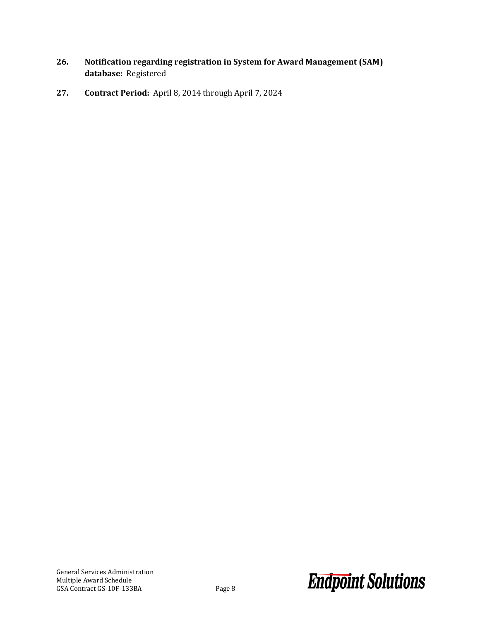- **26. Notification regarding registration in System for Award Management (SAM) database:** Registered
- **27. Contract Period:** April 8, 2014 through April 7, 2024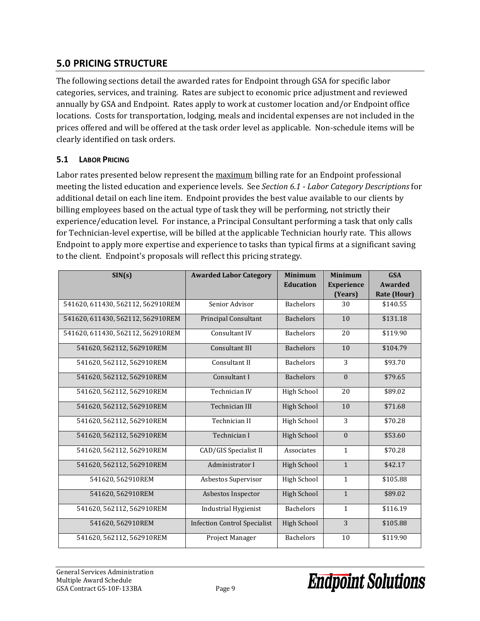### <span id="page-10-0"></span>**5.0 PRICING STRUCTURE**

The following sections detail the awarded rates for Endpoint through GSA for specific labor categories, services, and training. Rates are subject to economic price adjustment and reviewed annually by GSA and Endpoint. Rates apply to work at customer location and/or Endpoint office locations. Costs for transportation, lodging, meals and incidental expenses are not included in the prices offered and will be offered at the task order level as applicable. Non-schedule items will be clearly identified on task orders.

### <span id="page-10-1"></span>**5.1 LABOR PRICING**

Labor rates presented below represent the maximum billing rate for an Endpoint professional meeting the listed education and experience levels. See *Section 6.1 - Labor Category Descriptions* for additional detail on each line item. Endpoint provides the best value available to our clients by billing employees based on the actual type of task they will be performing, not strictly their experience/education level. For instance, a Principal Consultant performing a task that only calls for Technician-level expertise, will be billed at the applicable Technician hourly rate. This allows Endpoint to apply more expertise and experience to tasks than typical firms at a significant saving to the client. Endpoint's proposals will reflect this pricing strategy.

| SIN(s)                            | <b>Awarded Labor Category</b>       | <b>Minimum</b><br><b>Education</b> | <b>Minimum</b><br><b>Experience</b><br>(Years) | <b>GSA</b><br><b>Awarded</b><br><b>Rate (Hour)</b> |
|-----------------------------------|-------------------------------------|------------------------------------|------------------------------------------------|----------------------------------------------------|
| 541620, 611430, 562112, 562910REM | Senior Advisor                      | <b>Bachelors</b>                   | 30                                             | \$140.55                                           |
| 541620, 611430, 562112, 562910REM | <b>Principal Consultant</b>         | <b>Bachelors</b>                   | 10                                             | \$131.18                                           |
| 541620, 611430, 562112, 562910REM | Consultant IV                       | <b>Bachelors</b>                   | 20                                             | \$119.90                                           |
| 541620, 562112, 562910REM         | Consultant III                      | <b>Bachelors</b>                   | 10                                             | \$104.79                                           |
| 541620, 562112, 562910REM         | Consultant II                       | <b>Bachelors</b>                   | 3                                              | \$93.70                                            |
| 541620, 562112, 562910REM         | Consultant I                        | <b>Bachelors</b>                   | $\Omega$                                       | \$79.65                                            |
| 541620, 562112, 562910REM         | Technician IV                       | <b>High School</b>                 | 20                                             | \$89.02                                            |
| 541620, 562112, 562910REM         | Technician III                      | <b>High School</b>                 | 10                                             | \$71.68                                            |
| 541620, 562112, 562910REM         | Technician II                       | <b>High School</b>                 | 3                                              | \$70.28                                            |
| 541620, 562112, 562910REM         | Technician I                        | <b>High School</b>                 | $\mathbf{0}$                                   | \$53.60                                            |
| 541620, 562112, 562910REM         | CAD/GIS Specialist II               | Associates                         | $\mathbf{1}$                                   | \$70.28                                            |
| 541620, 562112, 562910REM         | Administrator I                     | <b>High School</b>                 | $\mathbf{1}$                                   | \$42.17                                            |
| 541620, 562910REM                 | Asbestos Supervisor                 | <b>High School</b>                 | $\mathbf{1}$                                   | \$105.88                                           |
| 541620, 562910REM                 | Asbestos Inspector                  | <b>High School</b>                 | $\mathbf{1}$                                   | \$89.02                                            |
| 541620, 562112, 562910REM         | <b>Industrial Hygienist</b>         | <b>Bachelors</b>                   | $\mathbf{1}$                                   | \$116.19                                           |
| 541620, 562910REM                 | <b>Infection Control Specialist</b> | <b>High School</b>                 | 3                                              | \$105.88                                           |
| 541620, 562112, 562910REM         | Project Manager                     | <b>Bachelors</b>                   | 10                                             | \$119.90                                           |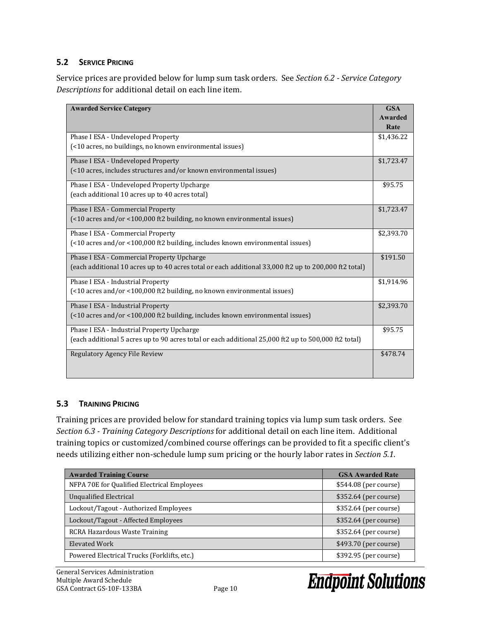### <span id="page-11-0"></span>**5.2 SERVICE PRICING**

Service prices are provided below for lump sum task orders. See *Section 6.2 - Service Category Descriptions* for additional detail on each line item.

| <b>Awarded Service Category</b>                                                                       | <b>GSA</b><br><b>Awarded</b><br>Rate |
|-------------------------------------------------------------------------------------------------------|--------------------------------------|
| Phase I ESA - Undeveloped Property                                                                    | \$1,436.22                           |
| (<10 acres, no buildings, no known environmental issues)                                              |                                      |
| Phase I ESA - Undeveloped Property                                                                    | \$1,723.47                           |
| (<10 acres, includes structures and/or known environmental issues)                                    |                                      |
| Phase I ESA - Undeveloped Property Upcharge                                                           | \$95.75                              |
| (each additional 10 acres up to 40 acres total)                                                       |                                      |
| Phase I ESA - Commercial Property                                                                     | \$1,723.47                           |
| (<10 acres and/or <100,000 ft2 building, no known environmental issues)                               |                                      |
| Phase I ESA - Commercial Property                                                                     | \$2,393.70                           |
| (<10 acres and/or <100,000 ft2 building, includes known environmental issues)                         |                                      |
| Phase I ESA - Commercial Property Upcharge                                                            | \$191.50                             |
| (each additional 10 acres up to 40 acres total or each additional 33,000 ft2 up to 200,000 ft2 total) |                                      |
| Phase I ESA - Industrial Property                                                                     | \$1,914.96                           |
| (<10 acres and/or <100,000 ft2 building, no known environmental issues)                               |                                      |
| Phase I ESA - Industrial Property                                                                     | \$2,393.70                           |
| (<10 acres and/or <100,000 ft2 building, includes known environmental issues)                         |                                      |
| Phase I ESA - Industrial Property Upcharge                                                            | \$95.75                              |
| (each additional 5 acres up to 90 acres total or each additional 25,000 ft2 up to 500,000 ft2 total)  |                                      |
| Regulatory Agency File Review                                                                         | \$478.74                             |
|                                                                                                       |                                      |
|                                                                                                       |                                      |

#### <span id="page-11-1"></span>**5.3 TRAINING PRICING**

Training prices are provided below for standard training topics via lump sum task orders. See *Section 6.3 - Training Category Descriptions* for additional detail on each line item. Additional training topics or customized/combined course offerings can be provided to fit a specific client's needs utilizing either non-schedule lump sum pricing or the hourly labor rates in *Section 5.1*.

| <b>Awarded Training Course</b>              | <b>GSA Awarded Rate</b> |
|---------------------------------------------|-------------------------|
| NFPA 70E for Qualified Electrical Employees | \$544.08 (per course)   |
| Unqualified Electrical                      | \$352.64 (per course)   |
| Lockout/Tagout - Authorized Employees       | \$352.64 (per course)   |
| Lockout/Tagout - Affected Employees         | \$352.64 (per course)   |
| RCRA Hazardous Waste Training               | $$352.64$ (per course)  |
| Elevated Work                               | \$493.70 (per course)   |
| Powered Electrical Trucks (Forklifts, etc.) | \$392.95 (per course)   |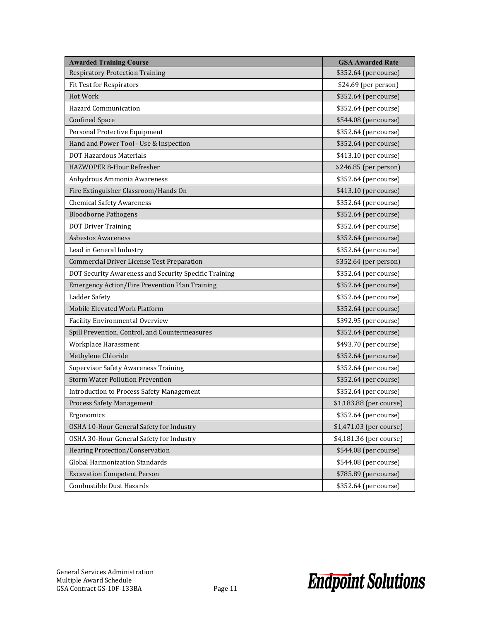| <b>Awarded Training Course</b>                        | <b>GSA Awarded Rate</b> |
|-------------------------------------------------------|-------------------------|
| <b>Respiratory Protection Training</b>                | \$352.64 (per course)   |
| <b>Fit Test for Respirators</b>                       | \$24.69 (per person)    |
| Hot Work                                              | \$352.64 (per course)   |
| <b>Hazard Communication</b>                           | \$352.64 (per course)   |
| <b>Confined Space</b>                                 | \$544.08 (per course)   |
| Personal Protective Equipment                         | \$352.64 (per course)   |
| Hand and Power Tool - Use & Inspection                | \$352.64 (per course)   |
| <b>DOT Hazardous Materials</b>                        | \$413.10 (per course)   |
| HAZWOPER 8-Hour Refresher                             | \$246.85 (per person)   |
| Anhydrous Ammonia Awareness                           | \$352.64 (per course)   |
| Fire Extinguisher Classroom/Hands On                  | \$413.10 (per course)   |
| <b>Chemical Safety Awareness</b>                      | \$352.64 (per course)   |
| <b>Bloodborne Pathogens</b>                           | \$352.64 (per course)   |
| <b>DOT Driver Training</b>                            | \$352.64 (per course)   |
| <b>Asbestos Awareness</b>                             | \$352.64 (per course)   |
| Lead in General Industry                              | \$352.64 (per course)   |
| <b>Commercial Driver License Test Preparation</b>     | \$352.64 (per person)   |
| DOT Security Awareness and Security Specific Training | \$352.64 (per course)   |
| <b>Emergency Action/Fire Prevention Plan Training</b> | \$352.64 (per course)   |
| Ladder Safety                                         | \$352.64 (per course)   |
| Mobile Elevated Work Platform                         | \$352.64 (per course)   |
| <b>Facility Environmental Overview</b>                | \$392.95 (per course)   |
| Spill Prevention, Control, and Countermeasures        | \$352.64 (per course)   |
| Workplace Harassment                                  | \$493.70 (per course)   |
| Methylene Chloride                                    | \$352.64 (per course)   |
| <b>Supervisor Safety Awareness Training</b>           | \$352.64 (per course)   |
| <b>Storm Water Pollution Prevention</b>               | \$352.64 (per course)   |
| <b>Introduction to Process Safety Management</b>      | \$352.64 (per course)   |
| <b>Process Safety Management</b>                      | \$1,183.88 (per course) |
| Ergonomics                                            | \$352.64 (per course)   |
| OSHA 10-Hour General Safety for Industry              | \$1,471.03 (per course) |
| OSHA 30-Hour General Safety for Industry              | \$4,181.36 (per course) |
| Hearing Protection/Conservation                       | \$544.08 (per course)   |
| <b>Global Harmonization Standards</b>                 | \$544.08 (per course)   |
| <b>Excavation Competent Person</b>                    | \$785.89 (per course)   |
| Combustible Dust Hazards                              | \$352.64 (per course)   |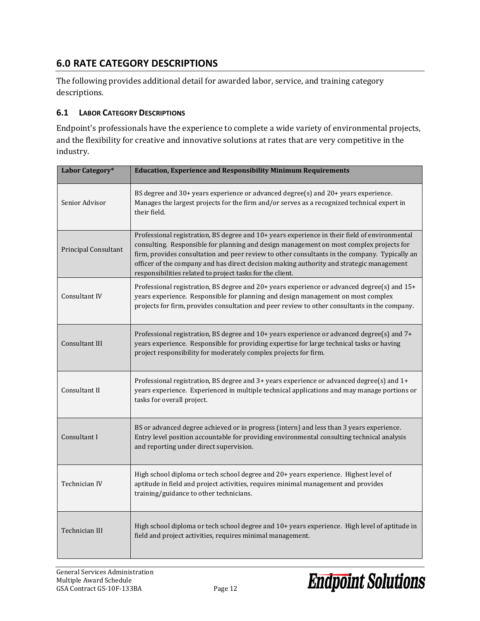### <span id="page-13-0"></span>**6.0 RATE CATEGORY DESCRIPTIONS**

The following provides additional detail for awarded labor, service, and training category descriptions.

#### <span id="page-13-1"></span>**6.1 LABOR CATEGORY DESCRIPTIONS**

Endpoint's professionals have the experience to complete a wide variety of environmental projects, and the flexibility for creative and innovative solutions at rates that are very competitive in the industry.

| Labor Category*      | <b>Education, Experience and Responsibility Minimum Requirements</b>                                                                                                                                                                                                                                                                                                                                                                               |
|----------------------|----------------------------------------------------------------------------------------------------------------------------------------------------------------------------------------------------------------------------------------------------------------------------------------------------------------------------------------------------------------------------------------------------------------------------------------------------|
| Senior Advisor       | BS degree and $30+$ years experience or advanced degree(s) and $20+$ years experience.<br>Manages the largest projects for the firm and/or serves as a recognized technical expert in<br>their field.                                                                                                                                                                                                                                              |
| Principal Consultant | Professional registration, BS degree and 10+ years experience in their field of environmental<br>consulting. Responsible for planning and design management on most complex projects for<br>firm, provides consultation and peer review to other consultants in the company. Typically an<br>officer of the company and has direct decision making authority and strategic management<br>responsibilities related to project tasks for the client. |
| Consultant IV        | Professional registration, BS degree and 20+ years experience or advanced degree(s) and 15+<br>years experience. Responsible for planning and design management on most complex<br>projects for firm, provides consultation and peer review to other consultants in the company.                                                                                                                                                                   |
| Consultant III       | Professional registration, BS degree and 10+ years experience or advanced degree(s) and 7+<br>years experience. Responsible for providing expertise for large technical tasks or having<br>project responsibility for moderately complex projects for firm.                                                                                                                                                                                        |
| Consultant II        | Professional registration, BS degree and 3+ years experience or advanced degree(s) and 1+<br>years experience. Experienced in multiple technical applications and may manage portions or<br>tasks for overall project.                                                                                                                                                                                                                             |
| Consultant I         | BS or advanced degree achieved or in progress (intern) and less than 3 years experience.<br>Entry level position accountable for providing environmental consulting technical analysis<br>and reporting under direct supervision.                                                                                                                                                                                                                  |
| Technician IV        | High school diploma or tech school degree and 20+ years experience. Highest level of<br>aptitude in field and project activities, requires minimal management and provides<br>training/guidance to other technicians.                                                                                                                                                                                                                              |
| Technician III       | High school diploma or tech school degree and 10+ years experience. High level of aptitude in<br>field and project activities, requires minimal management.                                                                                                                                                                                                                                                                                        |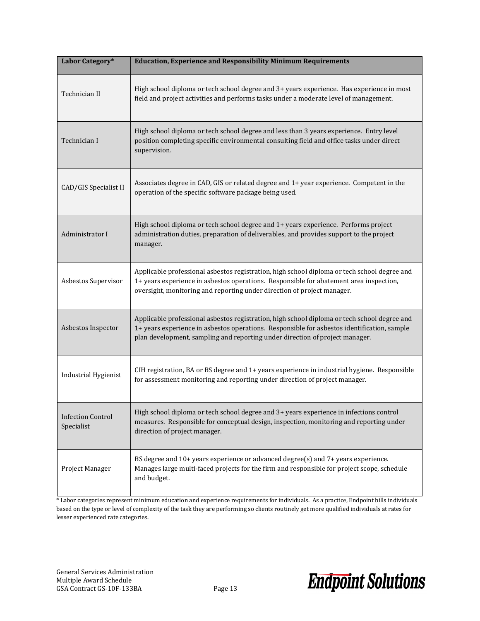| Labor Category*                        | <b>Education, Experience and Responsibility Minimum Requirements</b>                                                                                                                                                                                                        |
|----------------------------------------|-----------------------------------------------------------------------------------------------------------------------------------------------------------------------------------------------------------------------------------------------------------------------------|
| Technician II                          | High school diploma or tech school degree and 3+ years experience. Has experience in most<br>field and project activities and performs tasks under a moderate level of management.                                                                                          |
| Technician I                           | High school diploma or tech school degree and less than 3 years experience. Entry level<br>position completing specific environmental consulting field and office tasks under direct<br>supervision.                                                                        |
| CAD/GIS Specialist II                  | Associates degree in CAD, GIS or related degree and 1+ year experience. Competent in the<br>operation of the specific software package being used.                                                                                                                          |
| Administrator I                        | High school diploma or tech school degree and 1+ years experience. Performs project<br>administration duties, preparation of deliverables, and provides support to the project<br>manager.                                                                                  |
| Asbestos Supervisor                    | Applicable professional asbestos registration, high school diploma or tech school degree and<br>1+ years experience in asbestos operations. Responsible for abatement area inspection,<br>oversight, monitoring and reporting under direction of project manager.           |
| Asbestos Inspector                     | Applicable professional asbestos registration, high school diploma or tech school degree and<br>1+ years experience in asbestos operations. Responsible for asbestos identification, sample<br>plan development, sampling and reporting under direction of project manager. |
| Industrial Hygienist                   | CIH registration, BA or BS degree and 1+ years experience in industrial hygiene. Responsible<br>for assessment monitoring and reporting under direction of project manager.                                                                                                 |
| <b>Infection Control</b><br>Specialist | High school diploma or tech school degree and 3+ years experience in infections control<br>measures. Responsible for conceptual design, inspection, monitoring and reporting under<br>direction of project manager.                                                         |
| Project Manager                        | BS degree and 10+ years experience or advanced degree(s) and 7+ years experience.<br>Manages large multi-faced projects for the firm and responsible for project scope, schedule<br>and budget.                                                                             |

\* Labor categories represent minimum education and experience requirements for individuals. As a practice, Endpoint bills individuals based on the type or level of complexity of the task they are performing so clients routinely get more qualified individuals at rates for lesser experienced rate categories.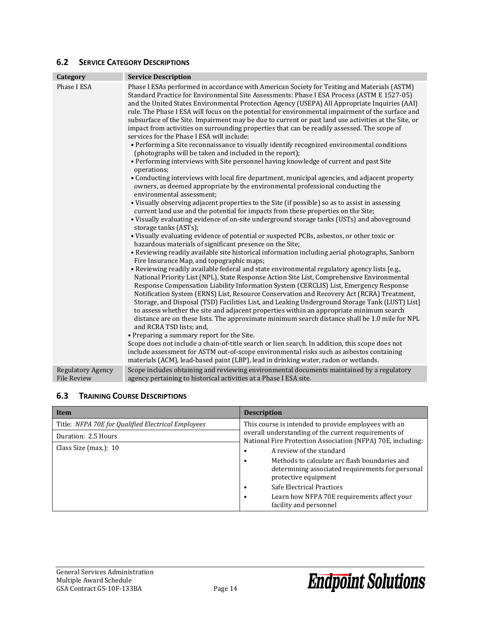#### <span id="page-15-0"></span>**6.2 SERVICE CATEGORY DESCRIPTIONS**

| Category                 | <b>Service Description</b>                                                                                                                                                                                                                                                                                                                                                                                                                                                                                                                                                                                                                                                                                                                                                                                                                                                                                                                                                                                                                                                                                                                                                                                                                                                                                                                                                                                                                                                                                                                                                                                                                                                                                                                                                                                                                                                                                                                                                                                                                                                                                                                                                                                                                                                                                                                                                                                                                                                                                                                                                                                                                                                                                                                                                                                         |
|--------------------------|--------------------------------------------------------------------------------------------------------------------------------------------------------------------------------------------------------------------------------------------------------------------------------------------------------------------------------------------------------------------------------------------------------------------------------------------------------------------------------------------------------------------------------------------------------------------------------------------------------------------------------------------------------------------------------------------------------------------------------------------------------------------------------------------------------------------------------------------------------------------------------------------------------------------------------------------------------------------------------------------------------------------------------------------------------------------------------------------------------------------------------------------------------------------------------------------------------------------------------------------------------------------------------------------------------------------------------------------------------------------------------------------------------------------------------------------------------------------------------------------------------------------------------------------------------------------------------------------------------------------------------------------------------------------------------------------------------------------------------------------------------------------------------------------------------------------------------------------------------------------------------------------------------------------------------------------------------------------------------------------------------------------------------------------------------------------------------------------------------------------------------------------------------------------------------------------------------------------------------------------------------------------------------------------------------------------------------------------------------------------------------------------------------------------------------------------------------------------------------------------------------------------------------------------------------------------------------------------------------------------------------------------------------------------------------------------------------------------------------------------------------------------------------------------------------------------|
| Phase I ESA              | Phase I ESAs performed in accordance with American Society for Testing and Materials (ASTM)<br>Standard Practice for Environmental Site Assessments: Phase I ESA Process (ASTM E 1527-05)<br>and the United States Environmental Protection Agency (USEPA) All Appropriate Inquiries (AAI)<br>rule. The Phase I ESA will focus on the potential for environmental impairment of the surface and<br>subsurface of the Site. Impairment may be due to current or past land use activities at the Site, or<br>impact from activities on surrounding properties that can be readily assessed. The scope of<br>services for the Phase I ESA will include:<br>• Performing a Site reconnaissance to visually identify recognized environmental conditions<br>(photographs will be taken and included in the report);<br>• Performing interviews with Site personnel having knowledge of current and past Site<br>operations;<br>• Conducting interviews with local fire department, municipal agencies, and adjacent property<br>owners, as deemed appropriate by the environmental professional conducting the<br>environmental assessment:<br>• Visually observing adjacent properties to the Site (if possible) so as to assist in assessing<br>current land use and the potential for impacts from these properties on the Site;<br>• Visually evaluating evidence of on-site underground storage tanks (USTs) and aboveground<br>storage tanks (ASTs);<br>• Visually evaluating evidence of potential or suspected PCBs, asbestos, or other toxic or<br>hazardous materials of significant presence on the Site;<br>• Reviewing readily available site historical information including aerial photographs, Sanborn<br>Fire Insurance Map, and topographic maps;<br>• Reviewing readily available federal and state environmental regulatory agency lists [e.g.,<br>National Priority List (NPL), State Response Action Site List, Comprehensive Environmental<br>Response Compensation Liability Information System (CERCLIS) List, Emergency Response<br>Notification System (ERNS) List, Resource Conservation and Recovery Act (RCRA) Treatment,<br>Storage, and Disposal (TSD) Facilities List, and Leaking Underground Storage Tank (LUST) List]<br>to assess whether the site and adjacent properties within an appropriate minimum search<br>distance are on these lists. The approximate minimum search distance shall be 1.0 mile for NPL<br>and RCRA TSD lists; and,<br>• Preparing a summary report for the Site.<br>Scope does not include a chain-of-title search or lien search. In addition, this scope does not<br>include assessment for ASTM out-of-scope environmental risks such as asbestos containing<br>materials (ACM), lead-based paint (LBP), lead in drinking water, radon or wetlands. |
| <b>Regulatory Agency</b> | Scope includes obtaining and reviewing environmental documents maintained by a regulatory                                                                                                                                                                                                                                                                                                                                                                                                                                                                                                                                                                                                                                                                                                                                                                                                                                                                                                                                                                                                                                                                                                                                                                                                                                                                                                                                                                                                                                                                                                                                                                                                                                                                                                                                                                                                                                                                                                                                                                                                                                                                                                                                                                                                                                                                                                                                                                                                                                                                                                                                                                                                                                                                                                                          |
| <b>File Review</b>       | agency pertaining to historical activities at a Phase I ESA site.                                                                                                                                                                                                                                                                                                                                                                                                                                                                                                                                                                                                                                                                                                                                                                                                                                                                                                                                                                                                                                                                                                                                                                                                                                                                                                                                                                                                                                                                                                                                                                                                                                                                                                                                                                                                                                                                                                                                                                                                                                                                                                                                                                                                                                                                                                                                                                                                                                                                                                                                                                                                                                                                                                                                                  |

#### <span id="page-15-1"></span>**6.3 TRAINING COURSE DESCRIPTIONS**

| Item                                               | <b>Description</b>                                                                                                             |  |  |
|----------------------------------------------------|--------------------------------------------------------------------------------------------------------------------------------|--|--|
| Title: NFPA 70E for Qualified Electrical Employees | This course is intended to provide employees with an                                                                           |  |  |
| Duration: 2.5 Hours                                | overall understanding of the current requirements of<br>National Fire Protection Association (NFPA) 70E, including:            |  |  |
| Class Size (max.): 10                              | A review of the standard                                                                                                       |  |  |
|                                                    | Methods to calculate arc flash boundaries and<br>٠<br>determining associated requirements for personal<br>protective equipment |  |  |
|                                                    | Safe Electrical Practices                                                                                                      |  |  |
|                                                    | Learn how NFPA 70E requirements affect your<br>٠<br>facility and personnel                                                     |  |  |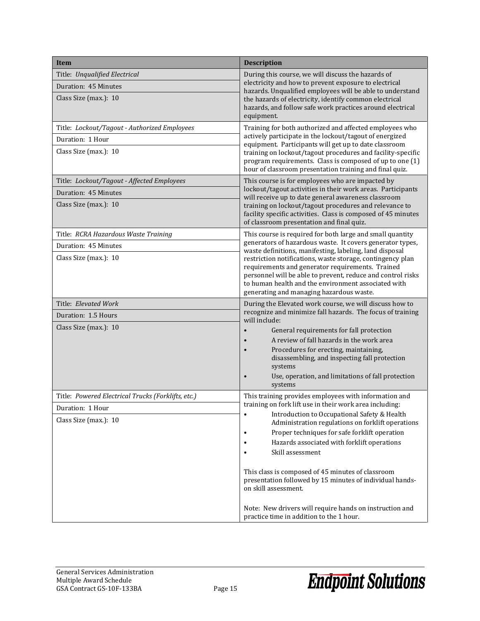| <b>Item</b>                                        | <b>Description</b>                                                                                                                                                                 |
|----------------------------------------------------|------------------------------------------------------------------------------------------------------------------------------------------------------------------------------------|
| Title: Unqualified Electrical                      | During this course, we will discuss the hazards of                                                                                                                                 |
| Duration: 45 Minutes                               | electricity and how to prevent exposure to electrical<br>hazards. Unqualified employees will be able to understand                                                                 |
| Class Size (max.): 10                              | the hazards of electricity, identify common electrical                                                                                                                             |
|                                                    | hazards, and follow safe work practices around electrical<br>equipment.                                                                                                            |
| Title: Lockout/Tagout - Authorized Employees       | Training for both authorized and affected employees who                                                                                                                            |
| Duration: 1 Hour                                   | actively participate in the lockout/tagout of energized<br>equipment. Participants will get up to date classroom                                                                   |
| Class Size (max.): 10                              | training on lockout/tagout procedures and facility-specific<br>program requirements. Class is composed of up to one (1)<br>hour of classroom presentation training and final quiz. |
| Title: Lockout/Tagout - Affected Employees         | This course is for employees who are impacted by                                                                                                                                   |
| Duration: 45 Minutes                               | lockout/tagout activities in their work areas. Participants<br>will receive up to date general awareness classroom                                                                 |
| Class Size (max.): 10                              | training on lockout/tagout procedures and relevance to                                                                                                                             |
|                                                    | facility specific activities. Class is composed of 45 minutes<br>of classroom presentation and final quiz.                                                                         |
| Title: RCRA Hazardous Waste Training               | This course is required for both large and small quantity                                                                                                                          |
| Duration: 45 Minutes                               | generators of hazardous waste. It covers generator types,<br>waste definitions, manifesting, labeling, land disposal                                                               |
| Class Size (max.): 10                              | restriction notifications, waste storage, contingency plan                                                                                                                         |
|                                                    | requirements and generator requirements. Trained<br>personnel will be able to prevent, reduce and control risks                                                                    |
|                                                    | to human health and the environment associated with                                                                                                                                |
|                                                    | generating and managing hazardous waste.                                                                                                                                           |
| Title: Elevated Work                               | During the Elevated work course, we will discuss how to<br>recognize and minimize fall hazards. The focus of training                                                              |
| Duration: 1.5 Hours                                | will include:                                                                                                                                                                      |
| Class Size (max.): 10                              | General requirements for fall protection<br>$\bullet$                                                                                                                              |
|                                                    | A review of fall hazards in the work area<br>Procedures for erecting, maintaining,                                                                                                 |
|                                                    | disassembling, and inspecting fall protection<br>systems                                                                                                                           |
|                                                    | Use, operation, and limitations of fall protection                                                                                                                                 |
|                                                    | systems                                                                                                                                                                            |
| Title: Powered Electrical Trucks (Forklifts, etc.) | This training provides employees with information and<br>training on fork lift use in their work area including:                                                                   |
| Duration: 1 Hour                                   | Introduction to Occupational Safety & Health<br>$\bullet$                                                                                                                          |
| Class Size (max.): 10                              | Administration regulations on forklift operations                                                                                                                                  |
|                                                    | Proper techniques for safe forklift operation<br>$\bullet$                                                                                                                         |
|                                                    | Hazards associated with forklift operations<br>٠<br>Skill assessment<br>$\bullet$                                                                                                  |
|                                                    |                                                                                                                                                                                    |
|                                                    | This class is composed of 45 minutes of classroom                                                                                                                                  |
|                                                    | presentation followed by 15 minutes of individual hands-<br>on skill assessment.                                                                                                   |
|                                                    |                                                                                                                                                                                    |
|                                                    | Note: New drivers will require hands on instruction and<br>practice time in addition to the 1 hour.                                                                                |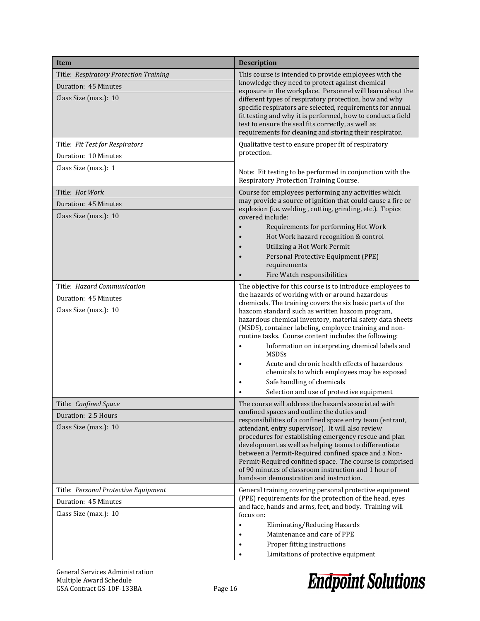| <b>Item</b>                                                           | <b>Description</b>                                                                                                                                                                                                                                                                                                                                                                                                                                                                                                                                         |  |
|-----------------------------------------------------------------------|------------------------------------------------------------------------------------------------------------------------------------------------------------------------------------------------------------------------------------------------------------------------------------------------------------------------------------------------------------------------------------------------------------------------------------------------------------------------------------------------------------------------------------------------------------|--|
| Title: Respiratory Protection Training                                | This course is intended to provide employees with the                                                                                                                                                                                                                                                                                                                                                                                                                                                                                                      |  |
| Duration: 45 Minutes                                                  | knowledge they need to protect against chemical<br>exposure in the workplace. Personnel will learn about the                                                                                                                                                                                                                                                                                                                                                                                                                                               |  |
| Class Size (max.): 10                                                 | different types of respiratory protection, how and why<br>specific respirators are selected, requirements for annual<br>fit testing and why it is performed, how to conduct a field<br>test to ensure the seal fits correctly, as well as<br>requirements for cleaning and storing their respirator.                                                                                                                                                                                                                                                       |  |
| Title: Fit Test for Respirators                                       | Qualitative test to ensure proper fit of respiratory                                                                                                                                                                                                                                                                                                                                                                                                                                                                                                       |  |
| Duration: 10 Minutes                                                  | protection.                                                                                                                                                                                                                                                                                                                                                                                                                                                                                                                                                |  |
| Class Size (max.): 1                                                  | Note: Fit testing to be performed in conjunction with the<br>Respiratory Protection Training Course.                                                                                                                                                                                                                                                                                                                                                                                                                                                       |  |
| Title: <i>Hot Work</i>                                                | Course for employees performing any activities which                                                                                                                                                                                                                                                                                                                                                                                                                                                                                                       |  |
| Duration: 45 Minutes<br>Class Size (max.): 10                         | may provide a source of ignition that could cause a fire or<br>explosion (i.e. welding, cutting, grinding, etc.). Topics<br>covered include:                                                                                                                                                                                                                                                                                                                                                                                                               |  |
|                                                                       | Requirements for performing Hot Work<br>Hot Work hazard recognition & control<br>Utilizing a Hot Work Permit<br>Personal Protective Equipment (PPE)<br>requirements<br>Fire Watch responsibilities                                                                                                                                                                                                                                                                                                                                                         |  |
| Title: Hazard Communication                                           | The objective for this course is to introduce employees to                                                                                                                                                                                                                                                                                                                                                                                                                                                                                                 |  |
| Duration: 45 Minutes<br>Class Size (max.): 10                         | the hazards of working with or around hazardous<br>chemicals. The training covers the six basic parts of the<br>hazcom standard such as written hazcom program,<br>hazardous chemical inventory, material safety data sheets<br>(MSDS), container labeling, employee training and non-<br>routine tasks. Course content includes the following:<br>Information on interpreting chemical labels and<br>$\bullet$                                                                                                                                            |  |
|                                                                       | <b>MSDSs</b><br>Acute and chronic health effects of hazardous<br>٠<br>chemicals to which employees may be exposed                                                                                                                                                                                                                                                                                                                                                                                                                                          |  |
|                                                                       | Safe handling of chemicals<br>$\bullet$                                                                                                                                                                                                                                                                                                                                                                                                                                                                                                                    |  |
|                                                                       | Selection and use of protective equipment                                                                                                                                                                                                                                                                                                                                                                                                                                                                                                                  |  |
| Title: Confined Space<br>Duration: 2.5 Hours<br>Class Size (max.): 10 | The course will address the hazards associated with<br>confined spaces and outline the duties and<br>responsibilities of a confined space entry team (entrant,<br>attendant, entry supervisor). It will also review<br>procedures for establishing emergency rescue and plan<br>development as well as helping teams to differentiate<br>between a Permit-Required confined space and a Non-<br>Permit-Required confined space. The course is comprised<br>of 90 minutes of classroom instruction and 1 hour of<br>hands-on demonstration and instruction. |  |
| Title: Personal Protective Equipment                                  | General training covering personal protective equipment<br>(PPE) requirements for the protection of the head, eyes                                                                                                                                                                                                                                                                                                                                                                                                                                         |  |
| Duration: 45 Minutes<br>Class Size (max.): 10                         | and face, hands and arms, feet, and body. Training will<br>focus on:<br>Eliminating/Reducing Hazards<br>$\bullet$<br>Maintenance and care of PPE                                                                                                                                                                                                                                                                                                                                                                                                           |  |
|                                                                       | Proper fitting instructions<br>٠                                                                                                                                                                                                                                                                                                                                                                                                                                                                                                                           |  |
|                                                                       | Limitations of protective equipment<br>٠                                                                                                                                                                                                                                                                                                                                                                                                                                                                                                                   |  |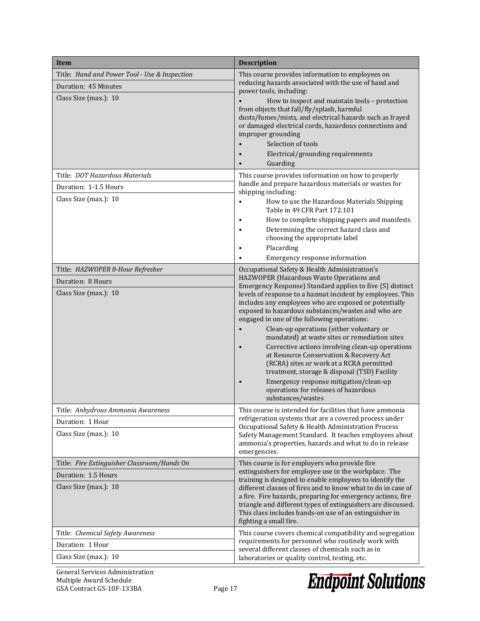| <b>Item</b>                                   | <b>Description</b>                                                                                                                                                                                                                                                                                                                                                                                                                                                                                                                                                                                                      |  |  |
|-----------------------------------------------|-------------------------------------------------------------------------------------------------------------------------------------------------------------------------------------------------------------------------------------------------------------------------------------------------------------------------------------------------------------------------------------------------------------------------------------------------------------------------------------------------------------------------------------------------------------------------------------------------------------------------|--|--|
| Title: Hand and Power Tool - Use & Inspection | This course provides information to employees on<br>reducing hazards associated with the use of hand and                                                                                                                                                                                                                                                                                                                                                                                                                                                                                                                |  |  |
| Duration: 45 Minutes<br>Class Size (max.): 10 | power tools, including:<br>How to inspect and maintain tools - protection<br>from objects that fall/fly/splash, harmful<br>dusts/fumes/mists, and electrical hazards such as frayed<br>or damaged electrical cords, hazardous connections and<br>improper grounding<br>Selection of tools<br>Electrical/grounding requirements<br>Guarding                                                                                                                                                                                                                                                                              |  |  |
| Title: DOT Hazardous Materials                | This course provides information on how to properly                                                                                                                                                                                                                                                                                                                                                                                                                                                                                                                                                                     |  |  |
| Duration: 1-1.5 Hours                         | handle and prepare hazardous materials or wastes for<br>shipping including:                                                                                                                                                                                                                                                                                                                                                                                                                                                                                                                                             |  |  |
| Class Size (max.): 10                         | How to use the Hazardous Materials Shipping<br>$\bullet$<br>Table in 49 CFR Part 172.101<br>How to complete shipping papers and manifests<br>$\bullet$<br>Determining the correct hazard class and<br>choosing the appropriate label<br>Placarding<br>Emergency response information                                                                                                                                                                                                                                                                                                                                    |  |  |
| Title: HAZWOPER 8-Hour Refresher              | Occupational Safety & Health Administration's                                                                                                                                                                                                                                                                                                                                                                                                                                                                                                                                                                           |  |  |
| Duration: 8 Hours                             | HAZWOPER (Hazardous Waste Operations and<br>Emergency Response) Standard applies to five (5) distinct                                                                                                                                                                                                                                                                                                                                                                                                                                                                                                                   |  |  |
| Class Size (max.): 10                         | levels of response to a hazmat incident by employees. This<br>includes any employees who are exposed or potentially<br>exposed to hazardous substances/wastes and who are<br>engaged in one of the following operations:<br>Clean-up operations (either voluntary or<br>mandated) at waste sites or remediation sites<br>Corrective actions involving clean-up operations<br>at Resource Conservation & Recovery Act<br>(RCRA) sites or work at a RCRA permitted<br>treatment, storage & disposal (TSD) Facility<br>Emergency response mitigation/clean-up<br>operations for releases of hazardous<br>substances/wastes |  |  |
| Title:  Anhydrous Ammonia Awareness           | This course is intended for facilities that have ammonia                                                                                                                                                                                                                                                                                                                                                                                                                                                                                                                                                                |  |  |
| Duration: 1 Hour<br>Class Size (max.): 10     | refrigeration systems that are a covered process under<br>Occupational Safety & Health Administration Process<br>Safety Management Standard. It teaches employees about<br>ammonia's properties, hazards and what to do in release<br>emergencies.                                                                                                                                                                                                                                                                                                                                                                      |  |  |
| Title: Fire Extinguisher Classroom/Hands On   | This course is for employers who provide fire                                                                                                                                                                                                                                                                                                                                                                                                                                                                                                                                                                           |  |  |
| Duration: 1.5 Hours<br>Class Size (max.): 10  | extinguishers for employee use in the workplace. The<br>training is designed to enable employees to identify the<br>different classes of fires and to know what to do in case of<br>a fire. Fire hazards, preparing for emergency actions, fire<br>triangle and different types of extinguishers are discussed.<br>This class includes hands-on use of an extinguisher in<br>fighting a small fire.                                                                                                                                                                                                                     |  |  |
| Title: Chemical Safety Awareness              | This course covers chemical compatibility and segregation                                                                                                                                                                                                                                                                                                                                                                                                                                                                                                                                                               |  |  |
| Duration: 1 Hour                              | requirements for personnel who routinely work with<br>several different classes of chemicals such as in                                                                                                                                                                                                                                                                                                                                                                                                                                                                                                                 |  |  |
| Class Size (max.): 10                         | laboratories or quality control, testing, etc.                                                                                                                                                                                                                                                                                                                                                                                                                                                                                                                                                                          |  |  |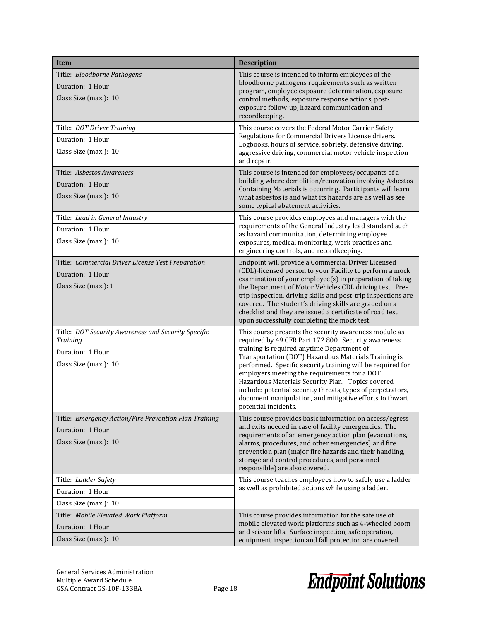| <b>Item</b>                                                     | <b>Description</b>                                                                                                                                                                                                                                                                                                                                                              |  |
|-----------------------------------------------------------------|---------------------------------------------------------------------------------------------------------------------------------------------------------------------------------------------------------------------------------------------------------------------------------------------------------------------------------------------------------------------------------|--|
| Title: Bloodborne Pathogens                                     | This course is intended to inform employees of the                                                                                                                                                                                                                                                                                                                              |  |
| Duration: 1 Hour                                                | bloodborne pathogens requirements such as written<br>program, employee exposure determination, exposure                                                                                                                                                                                                                                                                         |  |
| Class Size (max.): 10                                           | control methods, exposure response actions, post-<br>exposure follow-up, hazard communication and<br>recordkeeping.                                                                                                                                                                                                                                                             |  |
| Title: DOT Driver Training                                      | This course covers the Federal Motor Carrier Safety<br>Regulations for Commercial Drivers License drivers.<br>Logbooks, hours of service, sobriety, defensive driving,<br>aggressive driving, commercial motor vehicle inspection<br>and repair.                                                                                                                                |  |
| Duration: 1 Hour                                                |                                                                                                                                                                                                                                                                                                                                                                                 |  |
| Class Size (max.): 10                                           |                                                                                                                                                                                                                                                                                                                                                                                 |  |
| Title: Asbestos Awareness                                       | This course is intended for employees/occupants of a                                                                                                                                                                                                                                                                                                                            |  |
| Duration: 1 Hour                                                | building where demolition/renovation involving Asbestos<br>Containing Materials is occurring. Participants will learn                                                                                                                                                                                                                                                           |  |
| Class Size (max.): 10                                           | what asbestos is and what its hazards are as well as see<br>some typical abatement activities.                                                                                                                                                                                                                                                                                  |  |
| Title: Lead in General Industry                                 | This course provides employees and managers with the                                                                                                                                                                                                                                                                                                                            |  |
| Duration: 1 Hour                                                | requirements of the General Industry lead standard such<br>as hazard communication, determining employee                                                                                                                                                                                                                                                                        |  |
| Class Size (max.): 10                                           | exposures, medical monitoring, work practices and<br>engineering controls, and recordkeeping.                                                                                                                                                                                                                                                                                   |  |
| Title: Commercial Driver License Test Preparation               | Endpoint will provide a Commercial Driver Licensed                                                                                                                                                                                                                                                                                                                              |  |
| Duration: 1 Hour                                                | (CDL)-licensed person to your Facility to perform a mock<br>examination of your employee(s) in preparation of taking                                                                                                                                                                                                                                                            |  |
| Class Size (max.): 1                                            | the Department of Motor Vehicles CDL driving test. Pre-<br>trip inspection, driving skills and post-trip inspections are<br>covered. The student's driving skills are graded on a<br>checklist and they are issued a certificate of road test<br>upon successfully completing the mock test.                                                                                    |  |
| Title: DOT Security Awareness and Security Specific<br>Training | This course presents the security awareness module as<br>required by 49 CFR Part 172.800. Security awareness                                                                                                                                                                                                                                                                    |  |
| Duration: 1 Hour                                                | training is required anytime Department of<br>Transportation (DOT) Hazardous Materials Training is                                                                                                                                                                                                                                                                              |  |
| Class Size (max.): 10                                           | performed. Specific security training will be required for<br>employers meeting the requirements for a DOT<br>Hazardous Materials Security Plan. Topics covered<br>include: potential security threats, types of perpetrators,<br>document manipulation, and mitigative efforts to thwart<br>potential incidents.                                                               |  |
| Title: Emergency Action/Fire Prevention Plan Training           | This course provides basic information on access/egress<br>and exits needed in case of facility emergencies. The<br>requirements of an emergency action plan (evacuations,<br>alarms, procedures, and other emergencies) and fire<br>prevention plan (major fire hazards and their handling,<br>storage and control procedures, and personnel<br>responsible) are also covered. |  |
| Duration: 1 Hour                                                |                                                                                                                                                                                                                                                                                                                                                                                 |  |
| Class Size (max.): 10                                           |                                                                                                                                                                                                                                                                                                                                                                                 |  |
| Title: Ladder Safety                                            | This course teaches employees how to safely use a ladder                                                                                                                                                                                                                                                                                                                        |  |
| Duration: 1 Hour                                                | as well as prohibited actions while using a ladder.                                                                                                                                                                                                                                                                                                                             |  |
| Class Size (max.): 10                                           |                                                                                                                                                                                                                                                                                                                                                                                 |  |
| Title: Mobile Elevated Work Platform                            | This course provides information for the safe use of                                                                                                                                                                                                                                                                                                                            |  |
| Duration: 1 Hour                                                | mobile elevated work platforms such as 4-wheeled boom<br>and scissor lifts. Surface inspection, safe operation,<br>equipment inspection and fall protection are covered.                                                                                                                                                                                                        |  |
| Class Size (max.): 10                                           |                                                                                                                                                                                                                                                                                                                                                                                 |  |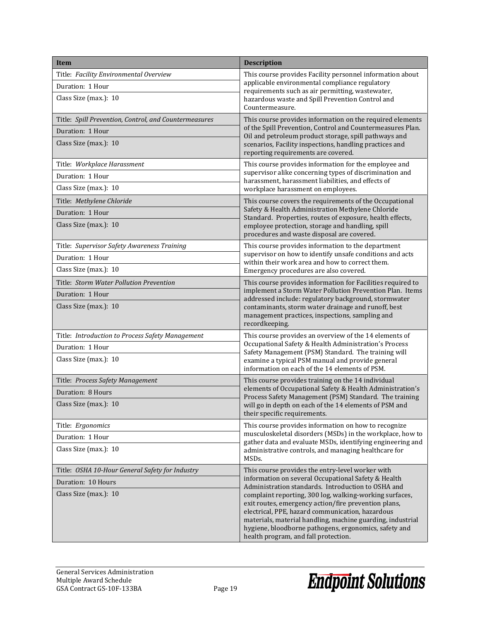| <b>Item</b>                                           | <b>Description</b>                                                                                                                                                                                                                                                                                                                                                                                                                                                                                  |  |
|-------------------------------------------------------|-----------------------------------------------------------------------------------------------------------------------------------------------------------------------------------------------------------------------------------------------------------------------------------------------------------------------------------------------------------------------------------------------------------------------------------------------------------------------------------------------------|--|
| Title: Facility Environmental Overview                | This course provides Facility personnel information about                                                                                                                                                                                                                                                                                                                                                                                                                                           |  |
| Duration: 1 Hour                                      | applicable environmental compliance regulatory<br>requirements such as air permitting, wastewater,                                                                                                                                                                                                                                                                                                                                                                                                  |  |
| Class Size (max.): 10                                 | hazardous waste and Spill Prevention Control and<br>Countermeasure.                                                                                                                                                                                                                                                                                                                                                                                                                                 |  |
| Title: Spill Prevention, Control, and Countermeasures | This course provides information on the required elements                                                                                                                                                                                                                                                                                                                                                                                                                                           |  |
| Duration: 1 Hour                                      | of the Spill Prevention, Control and Countermeasures Plan.<br>Oil and petroleum product storage, spill pathways and                                                                                                                                                                                                                                                                                                                                                                                 |  |
| Class Size (max.): 10                                 | scenarios, Facility inspections, handling practices and<br>reporting requirements are covered.                                                                                                                                                                                                                                                                                                                                                                                                      |  |
| Title: Workplace Harassment                           | This course provides information for the employee and                                                                                                                                                                                                                                                                                                                                                                                                                                               |  |
| Duration: 1 Hour                                      | supervisor alike concerning types of discrimination and<br>harassment, harassment liabilities, and effects of                                                                                                                                                                                                                                                                                                                                                                                       |  |
| Class Size (max.): 10                                 | workplace harassment on employees.                                                                                                                                                                                                                                                                                                                                                                                                                                                                  |  |
| Title: Methylene Chloride                             | This course covers the requirements of the Occupational                                                                                                                                                                                                                                                                                                                                                                                                                                             |  |
| Duration: 1 Hour                                      | Safety & Health Administration Methylene Chloride<br>Standard. Properties, routes of exposure, health effects,                                                                                                                                                                                                                                                                                                                                                                                      |  |
| Class Size (max.): 10                                 | employee protection, storage and handling, spill<br>procedures and waste disposal are covered.                                                                                                                                                                                                                                                                                                                                                                                                      |  |
| Title: Supervisor Safety Awareness Training           | This course provides information to the department                                                                                                                                                                                                                                                                                                                                                                                                                                                  |  |
| Duration: 1 Hour                                      | supervisor on how to identify unsafe conditions and acts<br>within their work area and how to correct them.                                                                                                                                                                                                                                                                                                                                                                                         |  |
| Class Size (max.): 10                                 | Emergency procedures are also covered.                                                                                                                                                                                                                                                                                                                                                                                                                                                              |  |
| Title: Storm Water Pollution Prevention               | This course provides information for Facilities required to                                                                                                                                                                                                                                                                                                                                                                                                                                         |  |
| Duration: 1 Hour                                      | implement a Storm Water Pollution Prevention Plan. Items<br>addressed include: regulatory background, stormwater                                                                                                                                                                                                                                                                                                                                                                                    |  |
| Class Size (max.): 10                                 | contaminants, storm water drainage and runoff, best<br>management practices, inspections, sampling and<br>recordkeeping.                                                                                                                                                                                                                                                                                                                                                                            |  |
| Title: Introduction to Process Safety Management      | This course provides an overview of the 14 elements of                                                                                                                                                                                                                                                                                                                                                                                                                                              |  |
| Duration: 1 Hour                                      | Occupational Safety & Health Administration's Process<br>Safety Management (PSM) Standard. The training will                                                                                                                                                                                                                                                                                                                                                                                        |  |
| Class Size (max.): 10                                 | examine a typical PSM manual and provide general<br>information on each of the 14 elements of PSM.                                                                                                                                                                                                                                                                                                                                                                                                  |  |
| Title: Process Safety Management                      | This course provides training on the 14 individual<br>elements of Occupational Safety & Health Administration's<br>Process Safety Management (PSM) Standard. The training<br>will go in depth on each of the 14 elements of PSM and<br>their specific requirements.                                                                                                                                                                                                                                 |  |
| Duration: 8 Hours                                     |                                                                                                                                                                                                                                                                                                                                                                                                                                                                                                     |  |
| Class Size (max.): 10                                 |                                                                                                                                                                                                                                                                                                                                                                                                                                                                                                     |  |
| Title: Ergonomics                                     | This course provides information on how to recognize<br>musculoskeletal disorders (MSDs) in the workplace, how to<br>gather data and evaluate MSDs, identifying engineering and<br>administrative controls, and managing healthcare for<br>MSDs.                                                                                                                                                                                                                                                    |  |
| Duration: 1 Hour                                      |                                                                                                                                                                                                                                                                                                                                                                                                                                                                                                     |  |
| Class Size (max.): 10                                 |                                                                                                                                                                                                                                                                                                                                                                                                                                                                                                     |  |
| Title: OSHA 10-Hour General Safety for Industry       | This course provides the entry-level worker with<br>information on several Occupational Safety & Health<br>Administration standards. Introduction to OSHA and<br>complaint reporting, 300 log, walking-working surfaces,<br>exit routes, emergency action/fire prevention plans,<br>electrical, PPE, hazard communication, hazardous<br>materials, material handling, machine guarding, industrial<br>hygiene, bloodborne pathogens, ergonomics, safety and<br>health program, and fall protection. |  |
| Duration: 10 Hours                                    |                                                                                                                                                                                                                                                                                                                                                                                                                                                                                                     |  |
| Class Size (max.): 10                                 |                                                                                                                                                                                                                                                                                                                                                                                                                                                                                                     |  |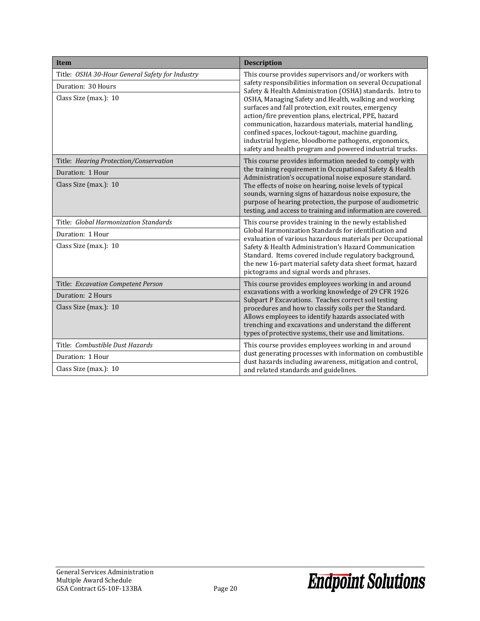| <b>Item</b>                                                                                    | <b>Description</b>                                                                                                                                                                                                                                                                                                                                                                                                                                                                                                                                                                              |  |
|------------------------------------------------------------------------------------------------|-------------------------------------------------------------------------------------------------------------------------------------------------------------------------------------------------------------------------------------------------------------------------------------------------------------------------------------------------------------------------------------------------------------------------------------------------------------------------------------------------------------------------------------------------------------------------------------------------|--|
| Title: OSHA 30-Hour General Safety for Industry<br>Duration: 30 Hours<br>Class Size (max.): 10 | This course provides supervisors and/or workers with<br>safety responsibilities information on several Occupational<br>Safety & Health Administration (OSHA) standards. Intro to<br>OSHA, Managing Safety and Health, walking and working<br>surfaces and fall protection, exit routes, emergency<br>action/fire prevention plans, electrical, PPE, hazard<br>communication, hazardous materials, material handling,<br>confined spaces, lockout-tagout, machine guarding,<br>industrial hygiene, bloodborne pathogens, ergonomics,<br>safety and health program and powered industrial trucks. |  |
| Title: Hearing Protection/Conservation<br>Duration: 1 Hour<br>Class Size (max.): 10            | This course provides information needed to comply with<br>the training requirement in Occupational Safety & Health<br>Administration's occupational noise exposure standard.<br>The effects of noise on hearing, noise levels of typical<br>sounds, warning signs of hazardous noise exposure, the<br>purpose of hearing protection, the purpose of audiometric<br>testing, and access to training and information are covered.                                                                                                                                                                 |  |
| Title: Global Harmonization Standards<br>Duration: 1 Hour<br>Class Size (max.): 10             | This course provides training in the newly established<br>Global Harmonization Standards for identification and<br>evaluation of various hazardous materials per Occupational<br>Safety & Health Administration's Hazard Communication<br>Standard. Items covered include regulatory background,<br>the new 16-part material safety data sheet format, hazard<br>pictograms and signal words and phrases.                                                                                                                                                                                       |  |
| Title: Excavation Competent Person<br>Duration: 2 Hours<br>Class Size (max.): 10               | This course provides employees working in and around<br>excavations with a working knowledge of 29 CFR 1926<br>Subpart P Excavations. Teaches correct soil testing<br>procedures and how to classify soils per the Standard.<br>Allows employees to identify hazards associated with<br>trenching and excavations and understand the different<br>types of protective systems, their use and limitations.                                                                                                                                                                                       |  |
| Title: Combustible Dust Hazards<br>Duration: 1 Hour<br>Class Size (max.): 10                   | This course provides employees working in and around<br>dust generating processes with information on combustible<br>dust hazards including awareness, mitigation and control,<br>and related standards and guidelines.                                                                                                                                                                                                                                                                                                                                                                         |  |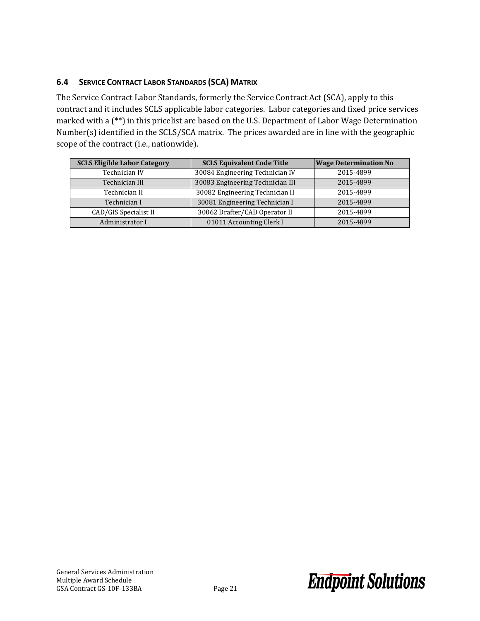### <span id="page-22-0"></span>**6.4 SERVICE CONTRACT LABOR STANDARDS (SCA) MATRIX**

The Service Contract Labor Standards, formerly the Service Contract Act (SCA), apply to this contract and it includes SCLS applicable labor categories. Labor categories and fixed price services marked with a (\*\*) in this pricelist are based on the U.S. Department of Labor Wage Determination Number(s) identified in the SCLS/SCA matrix. The prices awarded are in line with the geographic scope of the contract (i.e., nationwide).

| <b>SCLS Eligible Labor Category</b> | <b>SCLS Equivalent Code Title</b> | <b>Wage Determination No</b> |
|-------------------------------------|-----------------------------------|------------------------------|
| Technician IV                       | 30084 Engineering Technician IV   | 2015-4899                    |
| Technician III                      | 30083 Engineering Technician III  | 2015-4899                    |
| Technician II                       | 30082 Engineering Technician II   | 2015-4899                    |
| Technician I                        | 30081 Engineering Technician I    | 2015-4899                    |
| CAD/GIS Specialist II               | 30062 Drafter/CAD Operator II     | 2015-4899                    |
| Administrator I                     | 01011 Accounting Clerk I          | 2015-4899                    |